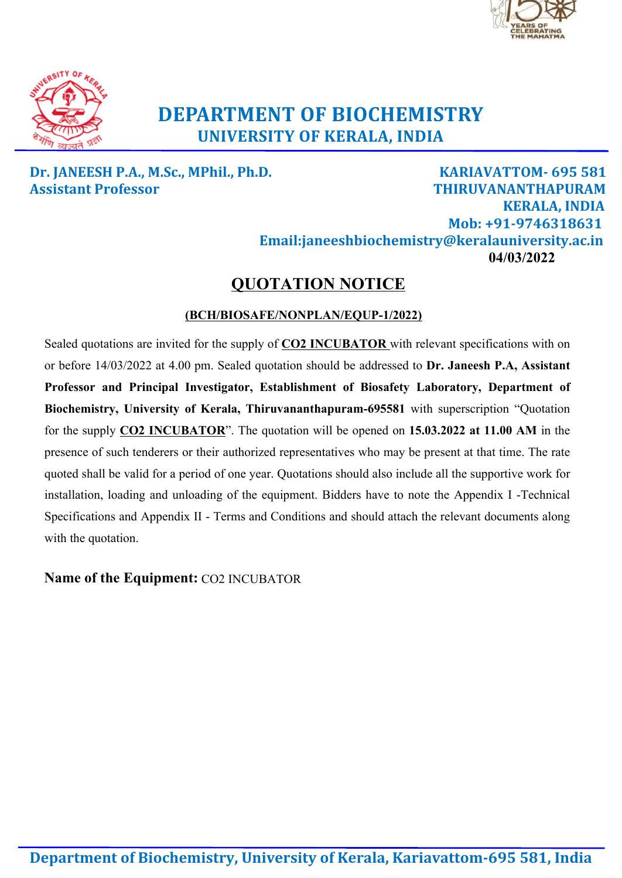



# **DEPARTMENT OF BIOCHEMISTRY UNIVERSITY OF KERALA, INDIA**

# **Dr. JANEESH P.A., M.Sc., MPhil., Ph.D. KARIAVATTOM- 695 581 Assistant Professor THIRUVANANTHAPURAM KERALA, INDIA Mob: +91-9746318631 Email:janeeshbiochemistry@keralauniversity.ac.in 04/03/2022**

# **QUOTATION NOTICE**

### **(BCH/BIOSAFE/NONPLAN/EQUP-1/2022)**

Sealed quotations are invited for the supply of **CO2 INCUBATOR** with relevant specifications with on or before 14/03/2022 at 4.00 pm. Sealed quotation should be addressed to **Dr. Janeesh P.A, Assistant Professor and Principal Investigator, Establishment of Biosafety Laboratory, Department of Biochemistry, University of Kerala, Thiruvananthapuram-695581** with superscription "Quotation for the supply **CO2 INCUBATOR**". The quotation will be opened on **15.03.2022 at 11.00 AM** in the presence of such tenderers or their authorized representatives who may be present at that time. The rate quoted shall be valid for a period of one year. Quotations should also include all the supportive work for installation, loading and unloading of the equipment. Bidders have to note the Appendix I -Technical Specifications and Appendix II - Terms and Conditions and should attach the relevant documents along with the quotation.

**Name of the Equipment:** CO2 INCUBATOR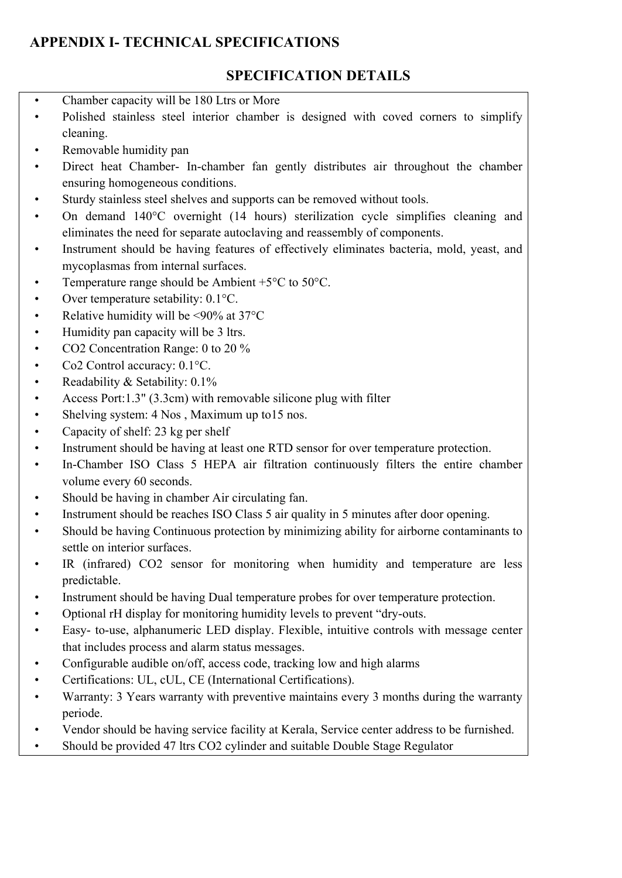# **APPENDIX I- TECHNICAL SPECIFICATIONS**

# **SPECIFICATION DETAILS**

- 
- Chamber capacity will be 180 Ltrs or More<br>• Polished stainless steel interior chamber is designed with coved corners to simplify cleaning.
- Removable humidity pan
- Direct heat Chamber- In-chamber fan gently distributes air throughout the chamber ensuring homogeneous conditions.
- Sturdy stainless steel shelves and supports can be removed without tools.
- On demand 140°C overnight (14 hours) sterilization cycle simplifies cleaning and eliminates the need for separate autoclaving and reassembly of components. • Instrument should be having features of effectively eliminates bacteria, mold, yeast, and
- mycoplasmas from internal surfaces.
- Temperature range should be Ambient  $+5^{\circ}$ C to  $50^{\circ}$ C.
- Over temperature setability: 0.1°C.
- Relative humidity will be  $\leq 90\%$  at 37°C
- Humidity pan capacity will be 3 ltrs.
- CO2 Concentration Range: 0 to 20 %
- Co2 Control accuracy: 0.1°C.
- Readability & Setability: 0.1%
- Access Port:1.3" (3.3cm) with removable silicone plug with filter
- Shelving system: 4 Nos, Maximum up to 15 nos.
- Capacity of shelf: 23 kg per shelf
- 
- Instrument should be having at least one RTD sensor for over temperature protection. In-Chamber ISO Class 5 HEPA air filtration continuously filters the entire chamber
- 
- volume every 60 seconds.<br>
Should be having in chamber Air circulating fan.<br>
Instrument should be reaches ISO Class 5 air quality in 5 minutes after door opening.<br>
Should be having Continuous protection by minimizing abilit
- settle on interior surfaces.<br>
 IR (infrared) CO2 sensor for monitoring when humidity and temperature are less
- predictable.
- 
- 
- Instrument should be having Dual temperature probes for over temperature protection.<br>• Optional rH display for monitoring humidity levels to prevent "dry-outs.<br>• Easy- to-use, alphanumeric LED display. Flexible, intuitiv that includes process and alarm status messages.<br>• Configurable audible on/off, access code, tracking low and high alarms
- 
- Certifications: UL, cUL, CE (International Certifications).
- Warranty: 3 Years warranty with preventive maintains every 3 months during the warranty periode.
- Vendor should be having service facility at Kerala, Service center address to be furnished. Should be provided 47 ltrs CO2 cylinder and suitable Double Stage Regulator
-